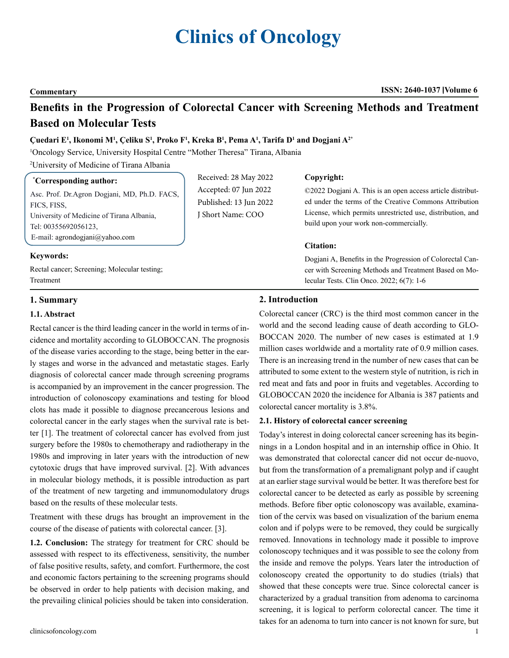# **Clinics of Oncology**

#### **Commentary ISSN: 2640-1037 Volume 6**

## **Benefits in the Progression of Colorectal Cancer with Screening Methods and Treatment Based on Molecular Tests**

#### **Çuedari E<sup>1</sup> , Ikonomi M<sup>1</sup> , Çeliku S1 , Proko F<sup>1</sup> , Kreka B1 , Pema A<sup>1</sup> , Tarifa D<sup>1</sup> and Dogjani A2\***

1 Oncology Service, University Hospital Centre "Mother Theresa" Tirana, Albania

2 University of Medicine of Tirana Albania

#### **\* Corresponding author:**

Asc. Prof. Dr.Agron Dogjani, MD, Ph.D. FACS, FICS, FISS, University of Medicine of Tirana Albania, Tel: 00355692056123, E-mail: [agrondogjani@yahoo.com](mailto:agrondogjani@yahoo.com)

Received: 28 May 2022 Accepted: 07 Jun 2022 Published: 13 Jun 2022 J Short Name: COO

#### **Copyright:**

©2022 Dogjani A. This is an open access article distributed under the terms of the Creative Commons Attribution License, which permits unrestricted use, distribution, and build upon your work non-commercially.

#### **Citation:**

Dogjani A, Benefits in the Progression of Colorectal Cancer with Screening Methods and Treatment Based on Molecular Tests. Clin Onco. 2022; 6(7): 1-6

#### **Keywords:**

Rectal cancer; Screening; Molecular testing; Treatment

#### **1. Summary**

#### **1.1. Abstract**

Rectal cancer is the third leading cancer in the world in terms of incidence and mortality according to GLOBOCCAN. The prognosis of the disease varies according to the stage, being better in the early stages and worse in the advanced and metastatic stages. Early diagnosis of colorectal cancer made through screening programs is accompanied by an improvement in the cancer progression. The introduction of colonoscopy examinations and testing for blood clots has made it possible to diagnose precancerous lesions and colorectal cancer in the early stages when the survival rate is better [1]. The treatment of colorectal cancer has evolved from just surgery before the 1980s to chemotherapy and radiotherapy in the 1980s and improving in later years with the introduction of new cytotoxic drugs that have improved survival. [2]. With advances in molecular biology methods, it is possible introduction as part of the treatment of new targeting and immunomodulatory drugs based on the results of these molecular tests.

Treatment with these drugs has brought an improvement in the course of the disease of patients with colorectal cancer. [3].

**1.2. Conclusion:** The strategy for treatment for CRC should be assessed with respect to its effectiveness, sensitivity, the number of false positive results, safety, and comfort. Furthermore, the cost and economic factors pertaining to the screening programs should be observed in order to help patients with decision making, and the prevailing clinical policies should be taken into consideration.

#### **2. Introduction**

Colorectal cancer (CRC) is the third most common cancer in the world and the second leading cause of death according to GLO-BOCCAN 2020. The number of new cases is estimated at 1.9 million cases worldwide and a mortality rate of 0.9 million cases. There is an increasing trend in the number of new cases that can be attributed to some extent to the western style of nutrition, is rich in red meat and fats and poor in fruits and vegetables. According to GLOBOCCAN 2020 the incidence for Albania is 387 patients and colorectal cancer mortality is 3.8%.

#### **2.1. History of colorectal cancer screening**

Today's interest in doing colorectal cancer screening has its beginnings in a London hospital and in an internship office in Ohio. It was demonstrated that colorectal cancer did not occur de-nuovo, but from the transformation of a premalignant polyp and if caught at an earlier stage survival would be better. It was therefore best for colorectal cancer to be detected as early as possible by screening methods. Before fiber optic colonoscopy was available, examination of the cervix was based on visualization of the barium enema colon and if polyps were to be removed, they could be surgically removed. Innovations in technology made it possible to improve colonoscopy techniques and it was possible to see the colony from the inside and remove the polyps. Years later the introduction of colonoscopy created the opportunity to do studies (trials) that showed that these concepts were true. Since colorectal cancer is characterized by a gradual transition from adenoma to carcinoma screening, it is logical to perform colorectal cancer. The time it takes for an adenoma to turn into cancer is not known for sure, but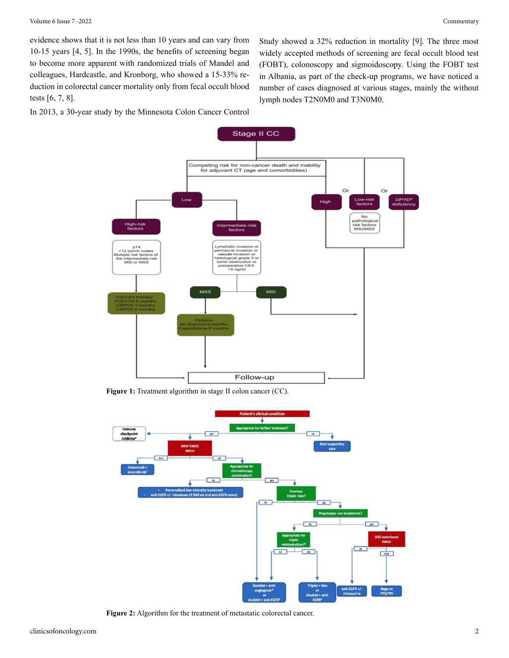evidence shows that it is not less than 10 years and can vary from 10-15 years [4, 5]. In the 1990s, the benefits of screening began to become more apparent with randomized trials of Mandel and colleagues, Hardcastle, and Kronborg, who showed a 15-33% reduction in colorectal cancer mortality only from fecal occult blood tests [6, 7, 8].

In 2013, a 30-year study by the Minnesota Colon Cancer Control

Study showed a 32% reduction in mortality [9]. The three most widely accepted methods of screening are fecal occult blood test (FOBT), colonoscopy and sigmoidoscopy. Using the FOBT test in Albania, as part of the check-up programs, we have noticed a number of cases diagnosed at various stages, mainly the without lymph nodes T2N0M0 and T3N0M0.



**Figure 1:** Treatment algorithm in stage II colon cancer (CC).



**Figure 2:** Algorithm for the treatment of metastatic colorectal cancer.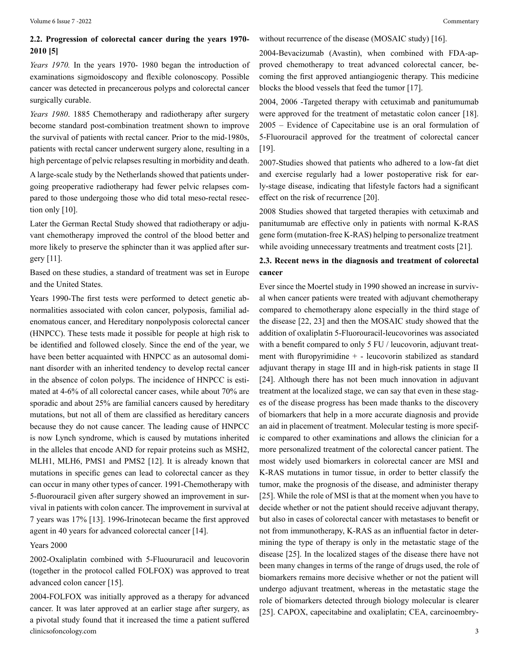### **2.2. Progression of colorectal cancer during the years 1970- 2010 [5]**

*Years 1970.* In the years 1970- 1980 began the introduction of examinations sigmoidoscopy and flexible colonoscopy. Possible cancer was detected in precancerous polyps and colorectal cancer surgically curable.

*Years 1980*. 1885 Chemotherapy and radiotherapy after surgery become standard post-combination treatment shown to improve the survival of patients with rectal cancer. Prior to the mid-1980s, patients with rectal cancer underwent surgery alone, resulting in a high percentage of pelvic relapses resulting in morbidity and death.

A large-scale study by the Netherlands showed that patients undergoing preoperative radiotherapy had fewer pelvic relapses compared to those undergoing those who did total meso-rectal resection only [10].

Later the German Rectal Study showed that radiotherapy or adjuvant chemotherapy improved the control of the blood better and more likely to preserve the sphincter than it was applied after surgery [11].

Based on these studies, a standard of treatment was set in Europe and the United States.

Years 1990-The first tests were performed to detect genetic abnormalities associated with colon cancer, polyposis, familial adenomatous cancer, and Hereditary nonpolyposis colorectal cancer (HNPCC). These tests made it possible for people at high risk to be identified and followed closely. Since the end of the year, we have been better acquainted with HNPCC as an autosomal dominant disorder with an inherited tendency to develop rectal cancer in the absence of colon polyps. The incidence of HNPCC is estimated at 4-6% of all colorectal cancer cases, while about 70% are sporadic and about 25% are familial cancers caused by hereditary mutations, but not all of them are classified as hereditary cancers because they do not cause cancer. The leading cause of HNPCC is now Lynch syndrome, which is caused by mutations inherited in the alleles that encode AND for repair proteins such as MSH2, MLH1, MLH6, PMS1 and PMS2 [12]. It is already known that mutations in specific genes can lead to colorectal cancer as they can occur in many other types of cancer. 1991-Chemotherapy with 5-fluorouracil given after surgery showed an improvement in survival in patients with colon cancer. The improvement in survival at 7 years was 17% [13]. 1996-Irinotecan became the first approved agent in 40 years for advanced colorectal cancer [14].

Years 2000

2002-Oxaliplatin combined with 5-Fluoururacil and leucovorin (together in the protocol called FOLFOX) was approved to treat advanced colon cancer [15].

clinicsofoncology.com 3 2004-FOLFOX was initially approved as a therapy for advanced cancer. It was later approved at an earlier stage after surgery, as a pivotal study found that it increased the time a patient suffered

without recurrence of the disease (MOSAIC study) [16].

2004-Bevacizumab (Avastin), when combined with FDA-approved chemotherapy to treat advanced colorectal cancer, becoming the first approved antiangiogenic therapy. This medicine blocks the blood vessels that feed the tumor [17].

2004, 2006 -Targeted therapy with cetuximab and panitumumab were approved for the treatment of metastatic colon cancer [18]. 2005 – Evidence of Capecitabine use is an oral formulation of 5-Fluorouracil approved for the treatment of colorectal cancer [19].

2007-Studies showed that patients who adhered to a low-fat diet and exercise regularly had a lower postoperative risk for early-stage disease, indicating that lifestyle factors had a significant effect on the risk of recurrence [20].

2008 Studies showed that targeted therapies with cetuximab and panitumumab are effective only in patients with normal K-RAS gene form (mutation-free K-RAS) helping to personalize treatment while avoiding unnecessary treatments and treatment costs [21].

#### **2.3. Recent news in the diagnosis and treatment of colorectal cancer**

Ever since the Moertel study in 1990 showed an increase in survival when cancer patients were treated with adjuvant chemotherapy compared to chemotherapy alone especially in the third stage of the disease [22, 23] and then the MOSAIC study showed that the addition of oxaliplatin 5-Fluorouracil-leucovorines was associated with a benefit compared to only 5 FU / leucovorin, adjuvant treatment with fluropyrimidine + - leucovorin stabilized as standard adjuvant therapy in stage III and in high-risk patients in stage II [24]. Although there has not been much innovation in adjuvant treatment at the localized stage, we can say that even in these stages of the disease progress has been made thanks to the discovery of biomarkers that help in a more accurate diagnosis and provide an aid in placement of treatment. Molecular testing is more specific compared to other examinations and allows the clinician for a more personalized treatment of the colorectal cancer patient. The most widely used biomarkers in colorectal cancer are MSI and K-RAS mutations in tumor tissue, in order to better classify the tumor, make the prognosis of the disease, and administer therapy [25]. While the role of MSI is that at the moment when you have to decide whether or not the patient should receive adjuvant therapy, but also in cases of colorectal cancer with metastases to benefit or not from immunotherapy, K-RAS as an influential factor in determining the type of therapy is only in the metastatic stage of the disease [25]. In the localized stages of the disease there have not been many changes in terms of the range of drugs used, the role of biomarkers remains more decisive whether or not the patient will undergo adjuvant treatment, whereas in the metastatic stage the role of biomarkers detected through biology molecular is clearer [25]. CAPOX, capecitabine and oxaliplatin; CEA, carcinoembry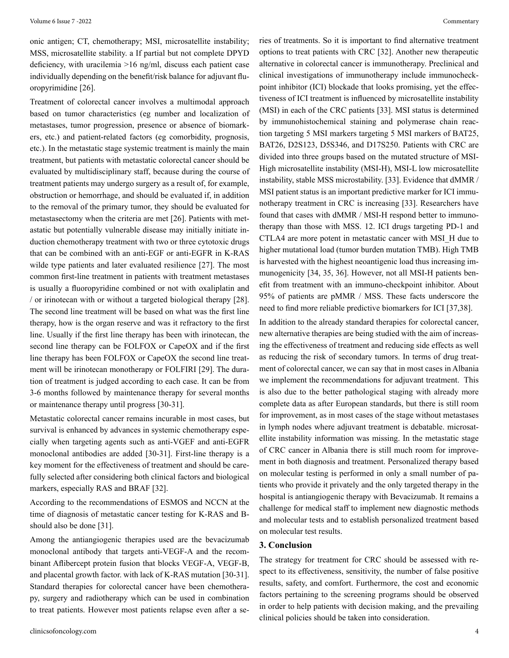onic antigen; CT, chemotherapy; MSI, microsatellite instability; MSS, microsatellite stability. a If partial but not complete DPYD deficiency, with uracilemia >16 ng/ml, discuss each patient case individually depending on the benefit/risk balance for adjuvant fluoropyrimidine [26].

Treatment of colorectal cancer involves a multimodal approach based on tumor characteristics (eg number and localization of metastases, tumor progression, presence or absence of biomarkers, etc.) and patient-related factors (eg comorbidity, prognosis, etc.). In the metastatic stage systemic treatment is mainly the main treatment, but patients with metastatic colorectal cancer should be evaluated by multidisciplinary staff, because during the course of treatment patients may undergo surgery as a result of, for example, obstruction or hemorrhage, and should be evaluated if, in addition to the removal of the primary tumor, they should be evaluated for metastasectomy when the criteria are met [26]. Patients with metastatic but potentially vulnerable disease may initially initiate induction chemotherapy treatment with two or three cytotoxic drugs that can be combined with an anti-EGF or anti-EGFR in K-RAS wilde type patients and later evaluated resilience [27]. The most common first-line treatment in patients with treatment metastases is usually a fluoropyridine combined or not with oxaliplatin and / or irinotecan with or without a targeted biological therapy [28]. The second line treatment will be based on what was the first line therapy, how is the organ reserve and was it refractory to the first line. Usually if the first line therapy has been with irinotecan, the second line therapy can be FOLFOX or CapeOX and if the first line therapy has been FOLFOX or CapeOX the second line treatment will be irinotecan monotherapy or FOLFIRI [29]. The duration of treatment is judged according to each case. It can be from 3-6 months followed by maintenance therapy for several months or maintenance therapy until progress [30-31].

Metastatic colorectal cancer remains incurable in most cases, but survival is enhanced by advances in systemic chemotherapy especially when targeting agents such as anti-VGEF and anti-EGFR monoclonal antibodies are added [30-31]. First-line therapy is a key moment for the effectiveness of treatment and should be carefully selected after considering both clinical factors and biological markers, especially RAS and BRAF [32].

According to the recommendations of ESMOS and NCCN at the time of diagnosis of metastatic cancer testing for K-RAS and Bshould also be done [31].

Among the antiangiogenic therapies used are the bevacizumab monoclonal antibody that targets anti-VEGF-A and the recombinant Aflibercept protein fusion that blocks VEGF-A, VEGF-B, and placental growth factor. with lack of K-RAS mutation [30-31]. Standard therapies for colorectal cancer have been chemotherapy, surgery and radiotherapy which can be used in combination to treat patients. However most patients relapse even after a se-

ries of treatments. So it is important to find alternative treatment options to treat patients with CRC [32]. Another new therapeutic alternative in colorectal cancer is immunotherapy. Preclinical and clinical investigations of immunotherapy include immunocheckpoint inhibitor (ICI) blockade that looks promising, yet the effectiveness of ICI treatment is influenced by microsatellite instability (MSI) in each of the CRC patients [33]. MSI status is determined by immunohistochemical staining and polymerase chain reaction targeting 5 MSI markers targeting 5 MSI markers of BAT25, BAT26, D2S123, D5S346, and D17S250. Patients with CRC are divided into three groups based on the mutated structure of MSI-High microsatellite instability (MSI-H), MSI-L low microsatellite instability, stable MSS microstability. [33]. Evidence that dMMR / MSI patient status is an important predictive marker for ICI immunotherapy treatment in CRC is increasing [33]. Researchers have found that cases with dMMR / MSI-H respond better to immunotherapy than those with MSS. 12. ICI drugs targeting PD-1 and CTLA4 are more potent in metastatic cancer with MSI\_H due to higher mutational load (tumor burden mutation TMB). High TMB is harvested with the highest neoantigenic load thus increasing immunogenicity [34, 35, 36]. However, not all MSI-H patients benefit from treatment with an immuno-checkpoint inhibitor. About 95% of patients are pMMR / MSS. These facts underscore the need to find more reliable predictive biomarkers for ICI [37,38].

In addition to the already standard therapies for colorectal cancer, new alternative therapies are being studied with the aim of increasing the effectiveness of treatment and reducing side effects as well as reducing the risk of secondary tumors. In terms of drug treatment of colorectal cancer, we can say that in most cases in Albania we implement the recommendations for adjuvant treatment. This is also due to the better pathological staging with already more complete data as after European standards, but there is still room for improvement, as in most cases of the stage without metastases in lymph nodes where adjuvant treatment is debatable. microsatellite instability information was missing. In the metastatic stage of CRC cancer in Albania there is still much room for improvement in both diagnosis and treatment. Personalized therapy based on molecular testing is performed in only a small number of patients who provide it privately and the only targeted therapy in the hospital is antiangiogenic therapy with Bevacizumab. It remains a challenge for medical staff to implement new diagnostic methods and molecular tests and to establish personalized treatment based on molecular test results.

#### **3. Conclusion**

The strategy for treatment for CRC should be assessed with respect to its effectiveness, sensitivity, the number of false positive results, safety, and comfort. Furthermore, the cost and economic factors pertaining to the screening programs should be observed in order to help patients with decision making, and the prevailing clinical policies should be taken into consideration.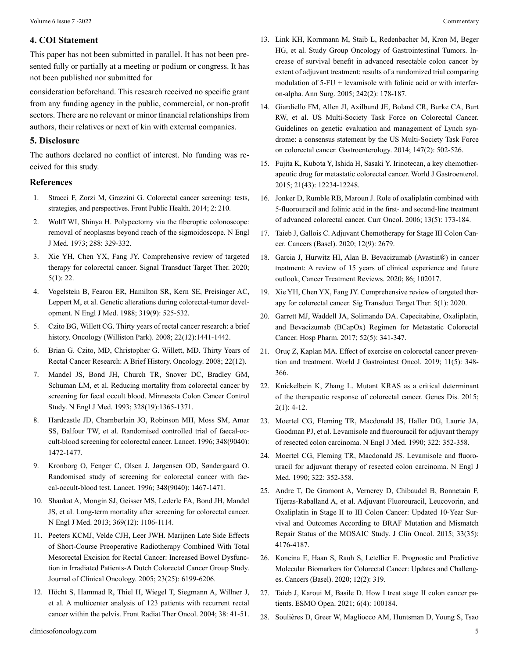#### **4. COI Statement**

This paper has not been submitted in parallel. It has not been presented fully or partially at a meeting or podium or congress. It has not been published nor submitted for

consideration beforehand. This research received no specific grant from any funding agency in the public, commercial, or non-profit sectors. There are no relevant or minor financial relationships from authors, their relatives or next of kin with external companies.

### **5. Disclosure**

The authors declared no conflict of interest. No funding was received for this study.

#### **References**

- 1. [Stracci F, Zorzi M, Grazzini G. Colorectal cancer screening: tests,](https://pubmed.ncbi.nlm.nih.gov/25386553/) [strategies, and perspectives. Front Public Health. 2014; 2: 210.](https://pubmed.ncbi.nlm.nih.gov/25386553/)
- 2. Wolff WI, Shinya H. [Polypectomy via the fiberoptic colonoscope:](https://pubmed.ncbi.nlm.nih.gov/4682941/) [removal of neoplasms beyond reach of the sigmoidoscope.](https://pubmed.ncbi.nlm.nih.gov/4682941/) N Engl J Med*.* [1973; 288: 329-332.](https://pubmed.ncbi.nlm.nih.gov/4682941/)
- 3. [Xie YH, Chen YX, Fang JY. Comprehensive review of targeted](https://pubmed.ncbi.nlm.nih.gov/32296018/) [therapy for colorectal cancer. Signal Transduct Target Ther. 2020;](https://pubmed.ncbi.nlm.nih.gov/32296018/) [5\(1\): 22.](https://pubmed.ncbi.nlm.nih.gov/32296018/)
- 4. [Vogelstein B, Fearon ER, Hamilton SR, Kern SE, Preisinger AC,](https://pubmed.ncbi.nlm.nih.gov/2841597/) [Leppert M, et al. Genetic alterations during colorectal-tumor devel](https://pubmed.ncbi.nlm.nih.gov/2841597/)[opment. N Engl J Med. 1988; 319\(9\): 525-532.](https://pubmed.ncbi.nlm.nih.gov/2841597/)
- 5. [Czito BG, Willett CG. Thirty years of rectal cancer research: a brief](https://pubmed.ncbi.nlm.nih.gov/19322951/) [history. Oncology \(Williston Park\). 2008; 22\(12\):1441-1442.](https://pubmed.ncbi.nlm.nih.gov/19322951/)
- 6. [Brian G. Czito, MD](https://www.cancernetwork.com/authors/brian-g-czito-md), [Christopher G. Willett, MD](https://www.cancernetwork.com/authors/christopher-g-willett-md). Thirty Years of Rectal Cancer Research: A Brief History. Oncology. 2008; 22(12).
- 7. [Mandel JS, Bond JH, Church TR, Snover DC, Bradley GM,](https://pubmed.ncbi.nlm.nih.gov/8474513/) [Schuman LM, et al. Reducing mortality from colorectal cancer by](https://pubmed.ncbi.nlm.nih.gov/8474513/) [screening for fecal occult blood. Minnesota Colon Cancer Control](https://pubmed.ncbi.nlm.nih.gov/8474513/) [Study. N Engl J Med. 1993; 328\(19\):1365-1371.](https://pubmed.ncbi.nlm.nih.gov/8474513/)
- 8. [Hardcastle JD, Chamberlain JO, Robinson MH, Moss SM, Amar](https://pubmed.ncbi.nlm.nih.gov/8942775/) [SS, Balfour TW, et al. Randomised controlled trial of faecal-oc](https://pubmed.ncbi.nlm.nih.gov/8942775/)[cult-blood screening for colorectal cancer. Lancet. 1996; 348\(9040\):](https://pubmed.ncbi.nlm.nih.gov/8942775/) [1472-1477.](https://pubmed.ncbi.nlm.nih.gov/8942775/)
- 9. [Kronborg O, Fenger C, Olsen J, Jørgensen OD, Søndergaard O.](https://pubmed.ncbi.nlm.nih.gov/8942774/)  [Randomised study of screening for colorectal cancer with fae](https://pubmed.ncbi.nlm.nih.gov/8942774/)[cal-occult-blood test. Lancet. 1996; 348\(9040\): 1467-1471.](https://pubmed.ncbi.nlm.nih.gov/8942774/)
- 10. [Shaukat A, Mongin SJ, Geisser MS, Lederle FA, Bond JH, Mandel](https://pubmed.ncbi.nlm.nih.gov/24047060/)  [JS, et al. Long-term mortality after screening for colorectal cancer.](https://pubmed.ncbi.nlm.nih.gov/24047060/) [N Engl J Med. 2013; 369\(12\): 1106-1114.](https://pubmed.ncbi.nlm.nih.gov/24047060/)
- 11. [Peeters KCMJ, Velde CJH, Leer JWH. Marijnen Late Side Effects](https://pubmed.ncbi.nlm.nih.gov/16135487/)  [of Short-Course Preoperative Radiotherapy Combined With Total](https://pubmed.ncbi.nlm.nih.gov/16135487/) [Mesorectal Excision for Rectal Cancer: Increased Bowel Dysfunc](https://pubmed.ncbi.nlm.nih.gov/16135487/)[tion in Irradiated Patients-A Dutch Colorectal Cancer Group Study.](https://pubmed.ncbi.nlm.nih.gov/16135487/) [Journal of Clinical Oncology. 2005; 23\(25\): 6199-6206.](https://pubmed.ncbi.nlm.nih.gov/16135487/)
- 12. [Höcht S, Hammad R, Thiel H, Wiegel T, Siegmann A, Willner J,](https://pubmed.ncbi.nlm.nih.gov/15458186/)  [et al. A multicenter analysis of 123 patients with recurrent rectal](https://pubmed.ncbi.nlm.nih.gov/15458186/) [cancer within the pelvis. Front Radiat Ther Oncol. 2004; 38: 41-51.](https://pubmed.ncbi.nlm.nih.gov/15458186/)
- 13. Link KH, Kornmann M, Staib L, Redenbacher M, Kron M, Beger HG, et al. Study Group Oncology of Gastrointestinal Tumors. Increase of survival benefit in advanced resectable colon cancer by extent of adjuvant treatment: results of a randomized trial comparing modulation of 5-FU + levamisole with folinic acid or with interferon-alpha. Ann Surg. 2005; 242(2): 178-187.
- 14. Giardiello FM, Allen JI, Axilbund JE, Boland CR, Burke CA, Burt RW, et al. US Multi-Society Task Force on Colorectal Cancer. Guidelines on genetic evaluation and management of Lynch syndrome: a consensus statement by the US Multi-Society Task Force on colorectal cancer. Gastroenterology. 2014; 147(2): 502-526.
- 15. [Fujita K, Kubota Y, Ishida H, Sasaki Y. Irinotecan, a key chemother](https://pubmed.ncbi.nlm.nih.gov/26604633/)[apeutic drug for metastatic colorectal cancer. World J Gastroenterol.](https://pubmed.ncbi.nlm.nih.gov/26604633/) [2015; 21\(43\): 12234-12248.](https://pubmed.ncbi.nlm.nih.gov/26604633/)
- 16. [Jonker D, Rumble RB, Maroun J. Role of oxaliplatin combined with](https://pubmed.ncbi.nlm.nih.gov/22792014/) [5-fluorouracil and folinic acid in the first- and second-line treatment](https://pubmed.ncbi.nlm.nih.gov/22792014/) [of advanced colorectal cancer. Curr Oncol. 2006; 13\(5\): 173-184.](https://pubmed.ncbi.nlm.nih.gov/22792014/)
- 17. [Taieb J, Gallois C. Adjuvant Chemotherapy for Stage III Colon Can](https://www.ncbi.nlm.nih.gov/pmc/articles/PMC7564362/#:~:text=In patients with stage III,toxicities%2C especially cumulative sensitive neuropathy)[cer. Cancers \(Basel\). 2020; 12\(9\): 2679.](https://www.ncbi.nlm.nih.gov/pmc/articles/PMC7564362/#:~:text=In patients with stage III,toxicities%2C especially cumulative sensitive neuropathy)
- 18. [Garcia J, Hurwitz HI, Alan B. Bevacizumab \(Avastin®\) in cancer](https://pubmed.ncbi.nlm.nih.gov/32335505/) treatment: A review of 15 [years of clinical experience and future](https://pubmed.ncbi.nlm.nih.gov/32335505/)  [outlook, Cancer Treatment Reviews. 2020; 86; 102017.](https://pubmed.ncbi.nlm.nih.gov/32335505/)
- 19. [Xie YH, Chen YX, Fang JY. Comprehensive review of targeted ther](https://pubmed.ncbi.nlm.nih.gov/32296018/)apy for colorectal cancer. [Sig Transduct Target Ther. 5\(1\):](https://pubmed.ncbi.nlm.nih.gov/32296018/) 2020.
- 20. [Garrett MJ, Waddell JA, Solimando DA. Capecitabine, Oxaliplatin,](https://pubmed.ncbi.nlm.nih.gov/28804149/) [and Bevacizumab \(BCapOx\) Regimen for Metastatic Colorectal](https://pubmed.ncbi.nlm.nih.gov/28804149/) [Cancer. Hosp Pharm. 2017; 52\(5\): 341-347.](https://pubmed.ncbi.nlm.nih.gov/28804149/)
- 21. [Oruç Z, Kaplan MA. Effect of exercise on colorectal cancer preven](https://pubmed.ncbi.nlm.nih.gov/31139306/)[tion and treatment. World J Gastrointest Oncol. 2019; 11\(5\): 348-](https://pubmed.ncbi.nlm.nih.gov/31139306/) [366.](https://pubmed.ncbi.nlm.nih.gov/31139306/)
- 22. [Knickelbein K, Zhang L. Mutant KRAS as a critical determinant](https://pubmed.ncbi.nlm.nih.gov/25815366/) [of the therapeutic response of colorectal cancer. Genes Dis. 2015;](https://pubmed.ncbi.nlm.nih.gov/25815366/)  $2(1)$ : 4-12.
- 23. [Moertel CG, Fleming TR, Macdonald JS, Haller DG, Laurie JA,](https://pubmed.ncbi.nlm.nih.gov/2300087/) [Goodman PJ, et al. Levamisole and fluorouracil for adjuvant therapy](https://pubmed.ncbi.nlm.nih.gov/2300087/) of resected colon carcinoma. [N Engl J Med. 1990; 322: 352-358.](https://pubmed.ncbi.nlm.nih.gov/2300087/)
- 24. [Moertel CG, Fleming TR, Macdonald JS. Levamisole and fluoro](https://pubmed.ncbi.nlm.nih.gov/2300087/)[uracil for adjuvant therapy of resected colon carcinoma.](https://pubmed.ncbi.nlm.nih.gov/2300087/) N Engl J Med*.* [1990; 322: 352-358.](https://pubmed.ncbi.nlm.nih.gov/2300087/)
- 25. [Andre T, De Gramont A, Vernerey D, Chibaudel B, Bonnetain F,](https://pubmed.ncbi.nlm.nih.gov/26527776/) [Tijeras-Raballand A, et al. Adjuvant Fluorouracil, Leucovorin, and](https://pubmed.ncbi.nlm.nih.gov/26527776/) [Oxaliplatin in Stage II to III Colon Cancer: Updated 10-Year Sur](https://pubmed.ncbi.nlm.nih.gov/26527776/)[vival and Outcomes According to BRAF Mutation and Mismatch](https://pubmed.ncbi.nlm.nih.gov/26527776/) [Repair Status of the MOSAIC Study. J Clin Oncol. 2015; 33\(35\):](https://pubmed.ncbi.nlm.nih.gov/26527776/) [4176-4187.](https://pubmed.ncbi.nlm.nih.gov/26527776/)
- 26. [Koncina E, Haan S, Rauh S, Letellier E. Prognostic and Predictive](https://pubmed.ncbi.nlm.nih.gov/32019056/) [Molecular Biomarkers for Colorectal Cancer: Updates and Challeng](https://pubmed.ncbi.nlm.nih.gov/32019056/)[es. Cancers \(Basel\). 2020; 12\(2\): 319.](https://pubmed.ncbi.nlm.nih.gov/32019056/)
- 27. [Taieb J, Karoui M, Basile D. How I treat stage II colon cancer pa](https://pubmed.ncbi.nlm.nih.gov/34237612/)[tients. ESMO Open. 2021; 6\(4\): 100184.](https://pubmed.ncbi.nlm.nih.gov/34237612/)
- 28. [Soulières D, Greer W, Magliocco AM, Huntsman D, Young S, Tsao](https://pubmed.ncbi.nlm.nih.gov/20680106/)